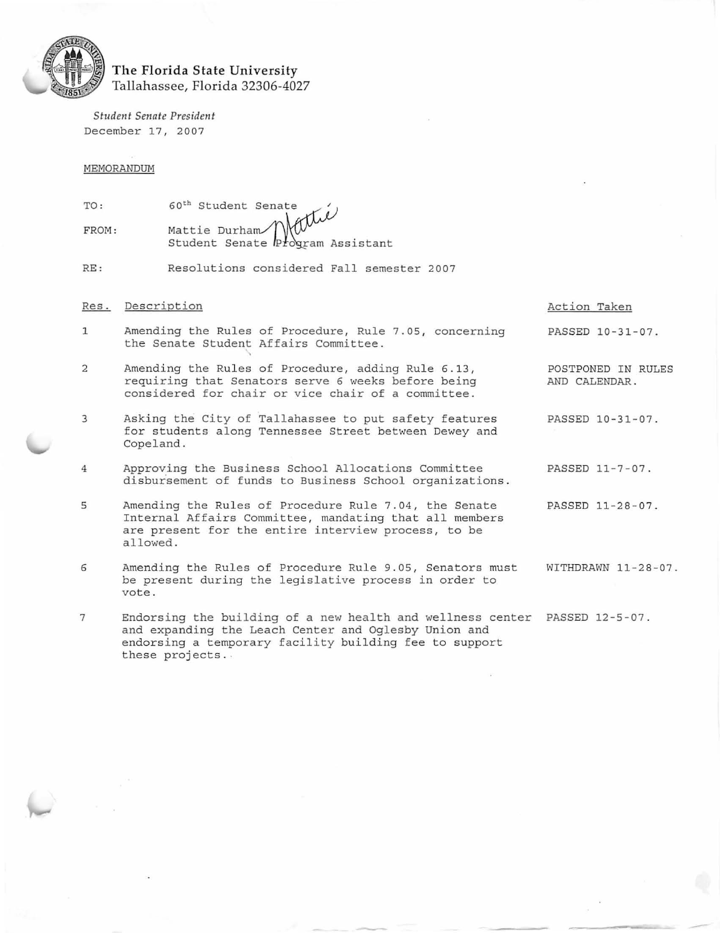

## The Florida State University Tallahassee, Florida 32306-4027

*Student Senate President*  December 17, 2007

these projects . .

MEMORANDUM

| TO:   |                                                                                      |
|-------|--------------------------------------------------------------------------------------|
| FROM: | 60 <sup>th</sup> Student Senate<br>Mattie Durham<br>Student Senate Program Assistant |

RE : Resolutions considered Fall semester 2007

# Res. Description and the contract of the Contract of Action Taken 1 Amending the Rules of Procedure, Rule 7.05, concerning PASSED 10-31-07. the Senate Student Affairs Committee. 2 Amending the Rules of Procedure, adding Rule 6.13, POSTPONED IN RULES<br>
requiring that Senators serve 6 weeks before being AND CALENDAR. requiring that Senators serve 6 weeks before being cons idered for chair or vice chair of a committee . 3 Asking the City of Tallahassee to put safety features PASSED 10-31-07. for students along Tennessee Street between Dewey and Copeland. 4 Approving the Business School Allocations Committee PASSED 11-7-07 . disbursement of funds to Business School organizations. 5 Amending the Rules of Procedure Rule 7.04, the Senate PASSED 11-28-07. Internal Affairs Committee, mandating that all members are present for the entire interview process, to be allowed. 6 Amending the Rules of Procedure Rule 9.05 , Senators must WITHDRAWN 11-28-07. be present during the legislative process in order to vote . 7 Endorsing the building of a new health and wellness center PASSED 12-5-07 . and expanding the Leach Center and Oglesby Union and endorsing a temporary facility building fee to support

-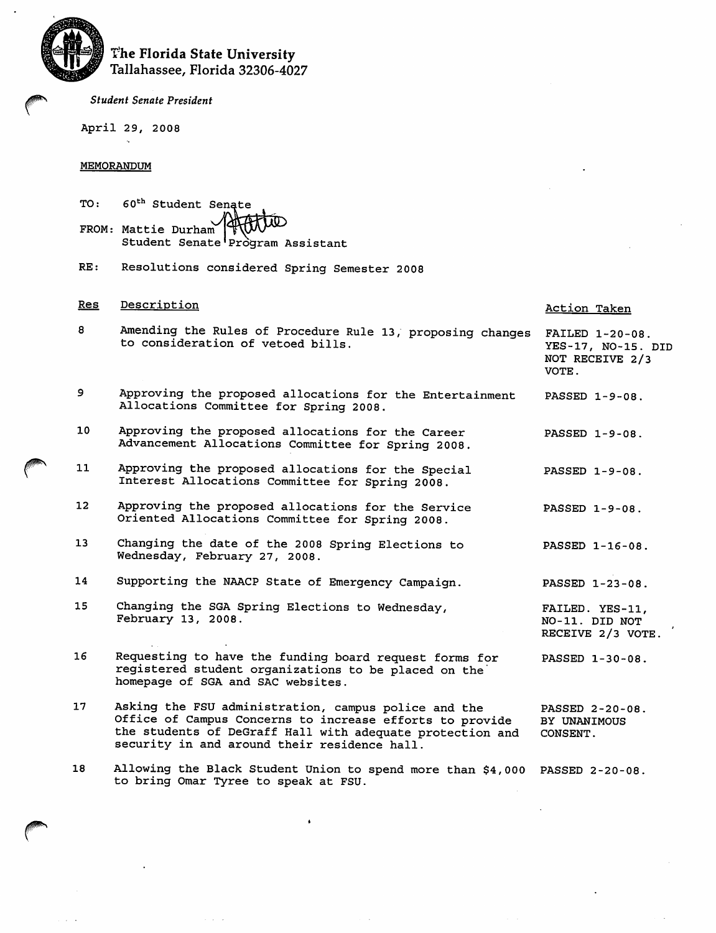

# The Florida State University Tallahassee, Florida 32306-4027

**Student Senate President** 

April 29, 2008

### **MEMORANDUM**

| TO: 60 <sup>th</sup> Student Senate<br>FROM: Mattie Durham (HUUUD)<br>Student Senate Program Assistant |
|--------------------------------------------------------------------------------------------------------|
|                                                                                                        |
|                                                                                                        |

Resolutions considered Spring Semester 2008  $RE:$ 

#### Res Description Action Taken 8 Amending the Rules of Procedure Rule 13, proposing changes FAILED 1-20-08. to consideration of vetoed bills. YES-17, NO-15. DID NOT RECEIVE 2/3 VOTE. و Approving the proposed allocations for the Entertainment PASSED 1-9-08. Allocations Committee for Spring 2008. 10 Approving the proposed allocations for the Career PASSED 1-9-08. Advancement Allocations Committee for Spring 2008.  $11$ Approving the proposed allocations for the Special PASSED 1-9-08. Interest Allocations Committee for Spring 2008.  $12$ Approving the proposed allocations for the Service PASSED 1-9-08. Oriented Allocations Committee for Spring 2008. 13 Changing the date of the 2008 Spring Elections to PASSED 1-16-08. Wednesday, February 27, 2008. 14 Supporting the NAACP State of Emergency Campaign. PASSED 1-23-08. Changing the SGA Spring Elections to Wednesday,  $15$ FAILED. YES-11, February 13, 2008. NO-11. DID NOT RECEIVE 2/3 VOTE. Requesting to have the funding board request forms for 16 PASSED 1-30-08. registered student organizations to be placed on the homepage of SGA and SAC websites. Asking the FSU administration, campus police and the 17 PASSED 2-20-08. Office of Campus Concerns to increase efforts to provide BY UNANIMOUS the students of DeGraff Hall with adequate protection and CONSENT. security in and around their residence hall.

Allowing the Black Student Union to spend more than \$4,000 PASSED 2-20-08. 18 to bring Omar Tyree to speak at FSU.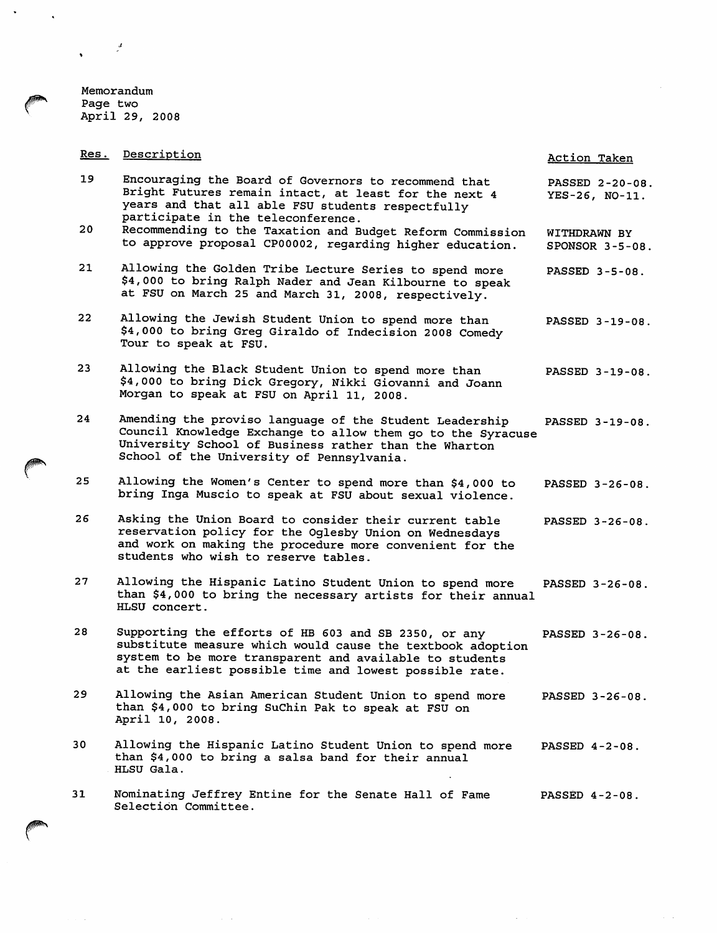Memorandum Page two April 29, 2008

Res. Description Action Taken 19 Encouraging the Board of Governors to recommend that PASSED 2-20-08. Bright Futures remain intact, at least for the next 4 YES-26, NO-11. years and that all able FSU students respectfully participate in the teleconference. 20 Recommending to the Taxation and Budget Reform Commission WITHDRAWN BY to approve proposal CP00002, regarding higher education. SPONSOR 3-5-08. Allowing the Golden Tribe Lecture Series to spend more 21 PASSED 3-5-08. \$4,000 to bring Ralph Nader and Jean Kilbourne to speak at FSU on March 25 and March 31, 2008, respectively. 22 Allowing the Jewish Student Union to spend more than PASSED 3-19-08. \$4,000 to bring Greg Giraldo of Indecision 2008 Comedy Tour to speak at FSU. 23 Allowing the Black Student Union to spend more than PASSED 3-19-08. \$4,000 to bring Dick Gregory, Nikki Giovanni and Joann Morgan to speak at FSU on April 11, 2008. Amending the proviso language of the Student Leadership 24 PASSED 3-19-08. Council Knowledge Exchange to allow them go to the Syracuse University School of Business rather than the Wharton School of the University of Pennsylvania. 25 Allowing the Women's Center to spend more than \$4,000 to PASSED 3-26-08. bring Inga Muscio to speak at FSU about sexual violence. Asking the Union Board to consider their current table 26 PASSED 3-26-08. reservation policy for the Oglesby Union on Wednesdays and work on making the procedure more convenient for the students who wish to reserve tables. 27 Allowing the Hispanic Latino Student Union to spend more PASSED 3-26-08. than \$4,000 to bring the necessary artists for their annual HLSU concert. 28 Supporting the efforts of HB 603 and SB 2350, or any PASSED 3-26-08. substitute measure which would cause the textbook adoption system to be more transparent and available to students at the earliest possible time and lowest possible rate.  $29$ Allowing the Asian American Student Union to spend more PASSED 3-26-08. than \$4,000 to bring SuChin Pak to speak at FSU on April 10, 2008. 30 Allowing the Hispanic Latino Student Union to spend more PASSED 4-2-08. than \$4,000 to bring a salsa band for their annual HLSU Gala. Nominating Jeffrey Entine for the Senate Hall of Fame  $31$ PASSED 4-2-08. Selection Committee.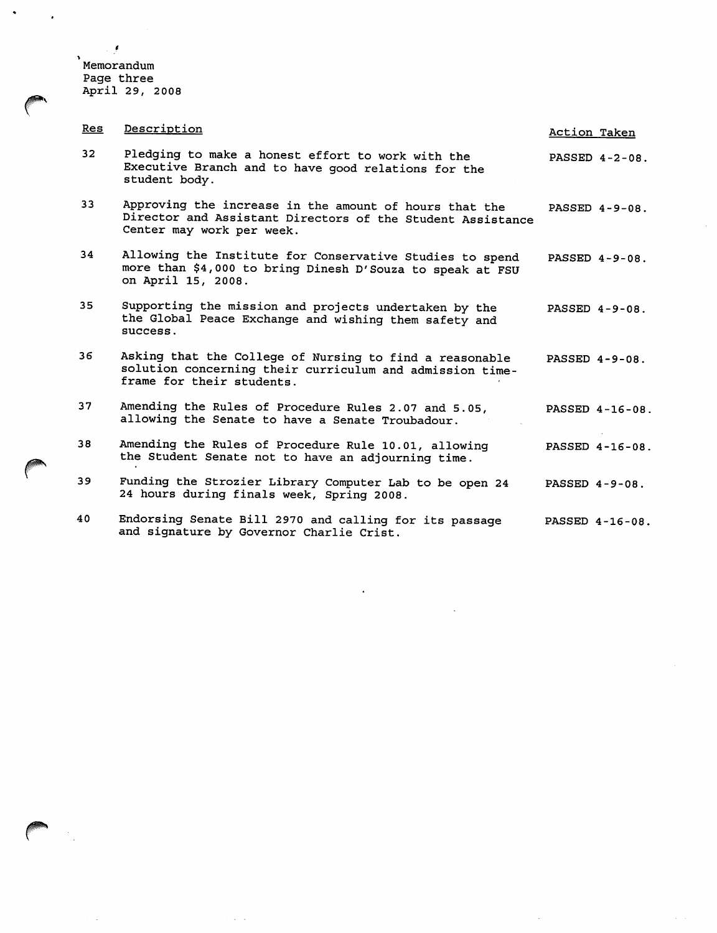Memorandum<br>Page three<br>April 29, 2008

 $\epsilon$ 

| Res             | Description                                                                                                                                       | Action Taken      |
|-----------------|---------------------------------------------------------------------------------------------------------------------------------------------------|-------------------|
| 32 <sub>2</sub> | Pledging to make a honest effort to work with the<br>Executive Branch and to have good relations for the<br>student body.                         | PASSED 4-2-08.    |
| 33              | Approving the increase in the amount of hours that the<br>Director and Assistant Directors of the Student Assistance<br>Center may work per week. | PASSED $4-9-08$ . |
| 34              | Allowing the Institute for Conservative Studies to spend<br>more than \$4,000 to bring Dinesh D'Souza to speak at FSU<br>on April 15, 2008.       | PASSED 4-9-08.    |
| 35 <sub>1</sub> | Supporting the mission and projects undertaken by the<br>the Global Peace Exchange and wishing them safety and<br>success.                        | PASSED 4-9-08.    |
| 36              | Asking that the College of Nursing to find a reasonable<br>solution concerning their curriculum and admission time-<br>frame for their students.  | PASSED $4-9-08$ . |
| 37              | Amending the Rules of Procedure Rules 2.07 and 5.05,<br>allowing the Senate to have a Senate Troubadour.                                          | PASSED 4-16-08.   |
| 38              | Amending the Rules of Procedure Rule 10.01, allowing<br>the Student Senate not to have an adjourning time.                                        | PASSED 4-16-08.   |
| 39              | Funding the Strozier Library Computer Lab to be open 24<br>24 hours during finals week, Spring 2008.                                              | PASSED $4-9-08$ . |
| 40              | Endorsing Senate Bill 2970 and calling for its passage<br>and signature by Governor Charlie Crist.                                                | PASSED 4-16-08.   |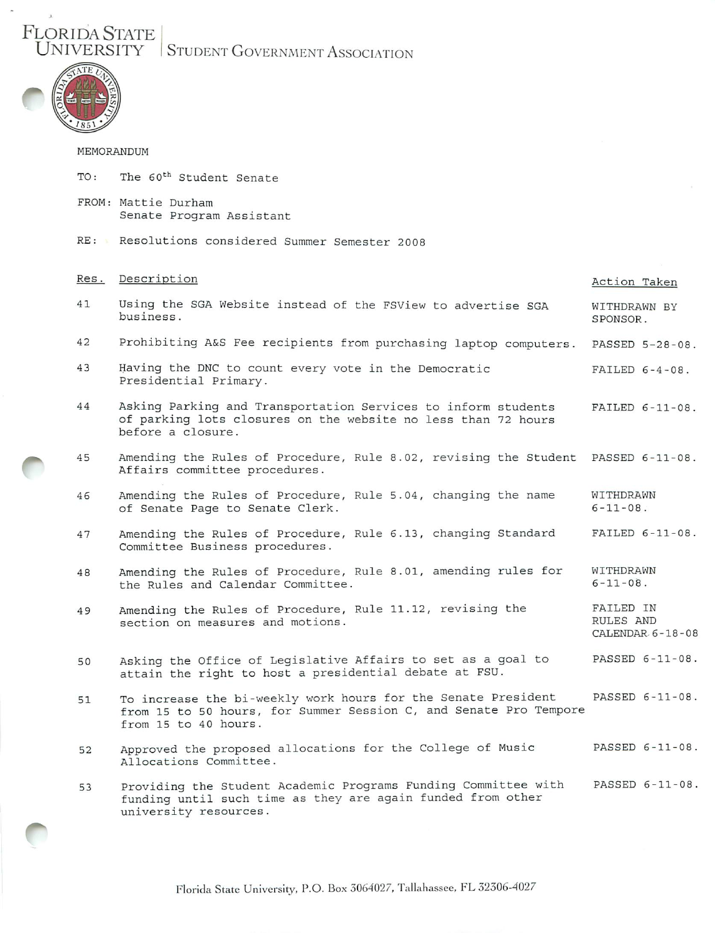FLORIDA STATE |<br>UNIVERSITY | STUDENT GOVERNMENT ASSOCIATION



 $\overline{a}$ 

## MEMORANDUM

| TO:  | The 60 <sup>th</sup> Student Senate                                                                                                                        |                                            |
|------|------------------------------------------------------------------------------------------------------------------------------------------------------------|--------------------------------------------|
|      | FROM: Mattie Durham<br>Senate Program Assistant                                                                                                            |                                            |
|      | RE: Resolutions considered Summer Semester 2008                                                                                                            |                                            |
| Res. | Description                                                                                                                                                | Action Taken                               |
| 41   | Using the SGA Website instead of the FSView to advertise SGA<br>business.                                                                                  | WITHDRAWN BY<br>SPONSOR.                   |
| 42   | Prohibiting A&S Fee recipients from purchasing laptop computers.                                                                                           | PASSED 5-28-08.                            |
| 43   | Having the DNC to count every vote in the Democratic<br>Presidential Primary.                                                                              | FAILED $6-4-08$ .                          |
| 44   | Asking Parking and Transportation Services to inform students<br>of parking lots closures on the website no less than 72 hours<br>before a closure.        | $FAILED 6-11-08.$                          |
| 45   | Amending the Rules of Procedure, Rule 8.02, revising the Student PASSED 6-11-08.<br>Affairs committee procedures.                                          |                                            |
| 46   | Amending the Rules of Procedure, Rule 5.04, changing the name<br>of Senate Page to Senate Clerk.                                                           | WITHDRAWN<br>$6 - 11 - 08$ .               |
| 47   | Amending the Rules of Procedure, Rule 6.13, changing Standard<br>Committee Business procedures.                                                            | FAILED 6-11-08.                            |
| 48   | Amending the Rules of Procedure, Rule 8.01, amending rules for<br>the Rules and Calendar Committee.                                                        | WITHDRAWN<br>$6 - 11 - 08$ .               |
| 49   | Amending the Rules of Procedure, Rule 11.12, revising the<br>section on measures and motions.                                                              | FAILED IN<br>RULES AND<br>CALENDAR 6-18-08 |
| 50   | Asking the Office of Legislative Affairs to set as a goal to<br>attain the right to host a presidential debate at FSU.                                     | PASSED 6-11-08.                            |
| 51   | To increase the bi-weekly work hours for the Senate President<br>from 15 to 50 hours, for Summer Session C, and Senate Pro Tempore<br>from 15 to 40 hours. | PASSED 6-11-08.                            |
| 52   | Approved the proposed allocations for the College of Music<br>Allocations Committee.                                                                       | PASSED 6-11-08.                            |
| 53   | Providing the Student Academic Programs Funding Committee with<br>funding until such time as they are again funded from other<br>university resources.     | PASSED 6-11-08.                            |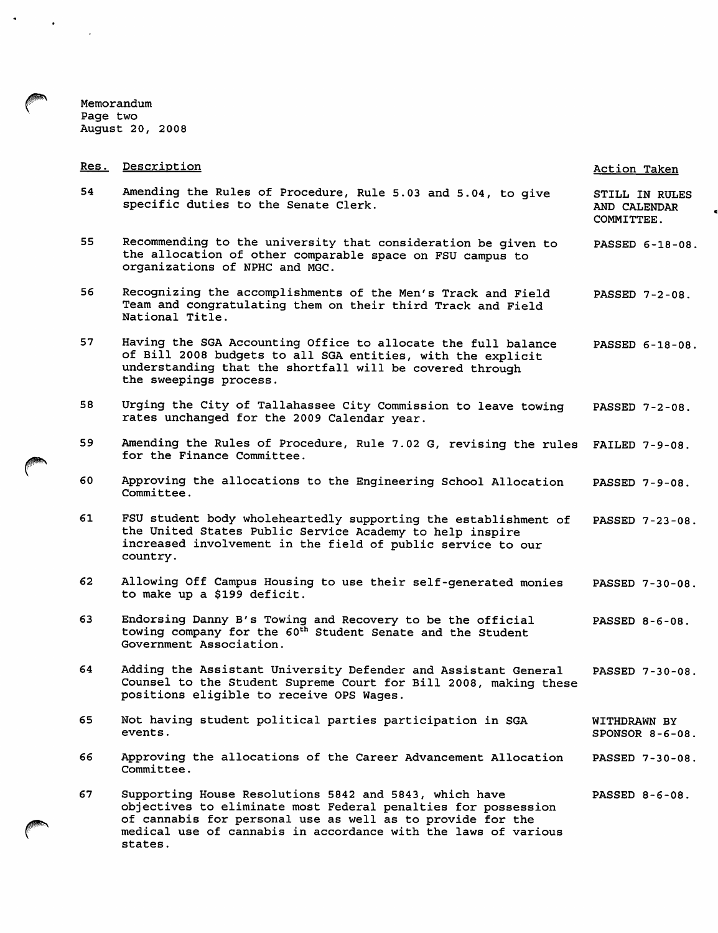Memorandum<br>Page two<br>August 20, 2008

 $\sigma_{\rm{eff}}$  ,  $\sigma_{\rm{eff}}$ 

| <u>Res.</u> | Description                                                                                                                                                                                                                                                        | Action Taken                                 |
|-------------|--------------------------------------------------------------------------------------------------------------------------------------------------------------------------------------------------------------------------------------------------------------------|----------------------------------------------|
| 54          | Amending the Rules of Procedure, Rule 5.03 and 5.04, to give<br>specific duties to the Senate Clerk.                                                                                                                                                               | STILL IN RULES<br>AND CALENDAR<br>COMMITTEE. |
| 55          | Recommending to the university that consideration be given to<br>the allocation of other comparable space on FSU campus to<br>organizations of NPHC and MGC.                                                                                                       | PASSED 6-18-08.                              |
| 56          | Recognizing the accomplishments of the Men's Track and Field<br>Team and congratulating them on their third Track and Field<br>National Title.                                                                                                                     | PASSED 7-2-08.                               |
| 57          | Having the SGA Accounting Office to allocate the full balance<br>of Bill 2008 budgets to all SGA entities, with the explicit<br>understanding that the shortfall will be covered through<br>the sweepings process.                                                 | PASSED 6-18-08.                              |
| 58          | Urging the City of Tallahassee City Commission to leave towing<br>rates unchanged for the 2009 Calendar year.                                                                                                                                                      | PASSED 7-2-08.                               |
| 59          | Amending the Rules of Procedure, Rule 7.02 G, revising the rules FAILED 7-9-08.<br>for the Finance Committee.                                                                                                                                                      |                                              |
| 60          | Approving the allocations to the Engineering School Allocation<br>Committee.                                                                                                                                                                                       | PASSED 7-9-08.                               |
| 61          | FSU student body wholeheartedly supporting the establishment of<br>the United States Public Service Academy to help inspire<br>increased involvement in the field of public service to our<br>country.                                                             | PASSED 7-23-08.                              |
| 62          | Allowing Off Campus Housing to use their self-generated monies<br>to make up a \$199 deficit.                                                                                                                                                                      | PASSED 7-30-08.                              |
| 63          | Endorsing Danny B's Towing and Recovery to be the official<br>towing company for the 60 <sup>th</sup> Student Senate and the Student<br>Government Association.                                                                                                    | PASSED 8-6-08.                               |
| 64          | Adding the Assistant University Defender and Assistant General<br>Counsel to the Student Supreme Court for Bill 2008, making these<br>positions eligible to receive OPS Wages.                                                                                     | PASSED 7-30-08.                              |
| 65          | Not having student political parties participation in SGA<br>events.                                                                                                                                                                                               | WITHDRAWN BY<br>SPONSOR $8-6-08$ .           |
| 66          | Approving the allocations of the Career Advancement Allocation<br>Committee.                                                                                                                                                                                       | PASSED 7-30-08.                              |
| 67          | Supporting House Resolutions 5842 and 5843, which have<br>objectives to eliminate most Federal penalties for possession<br>of cannabis for personal use as well as to provide for the<br>medical use of cannabis in accordance with the laws of various<br>states. | PASSED 8-6-08.                               |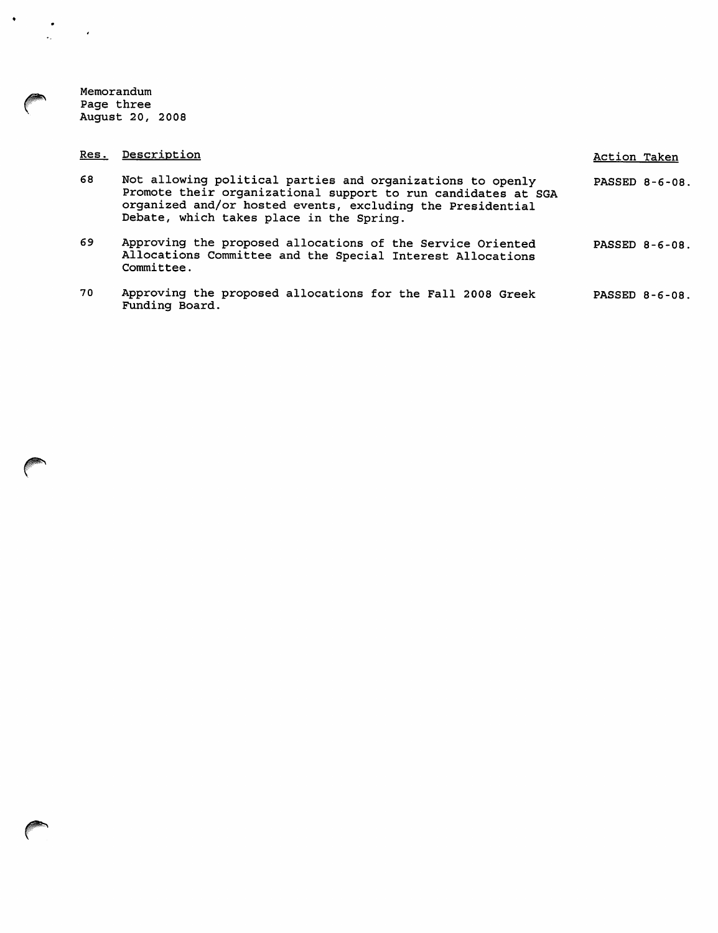Memorandum<br>Page three<br>August 20, 2008

 $\langle \bullet \rangle$ 

 $\frac{1}{2}$ 

h.

 $\mathcal{L}_{\mathcal{A}}$ 

| Res. | Description                                                                                                                                                                                                                           | Action Taken |                |
|------|---------------------------------------------------------------------------------------------------------------------------------------------------------------------------------------------------------------------------------------|--------------|----------------|
| 68   | Not allowing political parties and organizations to openly<br>Promote their organizational support to run candidates at SGA<br>organized and/or hosted events, excluding the Presidential<br>Debate, which takes place in the Spring. |              | PASSED 8-6-08. |
| 69   | Approving the proposed allocations of the Service Oriented<br>Allocations Committee and the Special Interest Allocations<br>Committee.                                                                                                |              | PASSED 8-6-08. |
| 70   | Approving the proposed allocations for the Fall 2008 Greek<br>Funding Board.                                                                                                                                                          |              | PASSED 8-6-08. |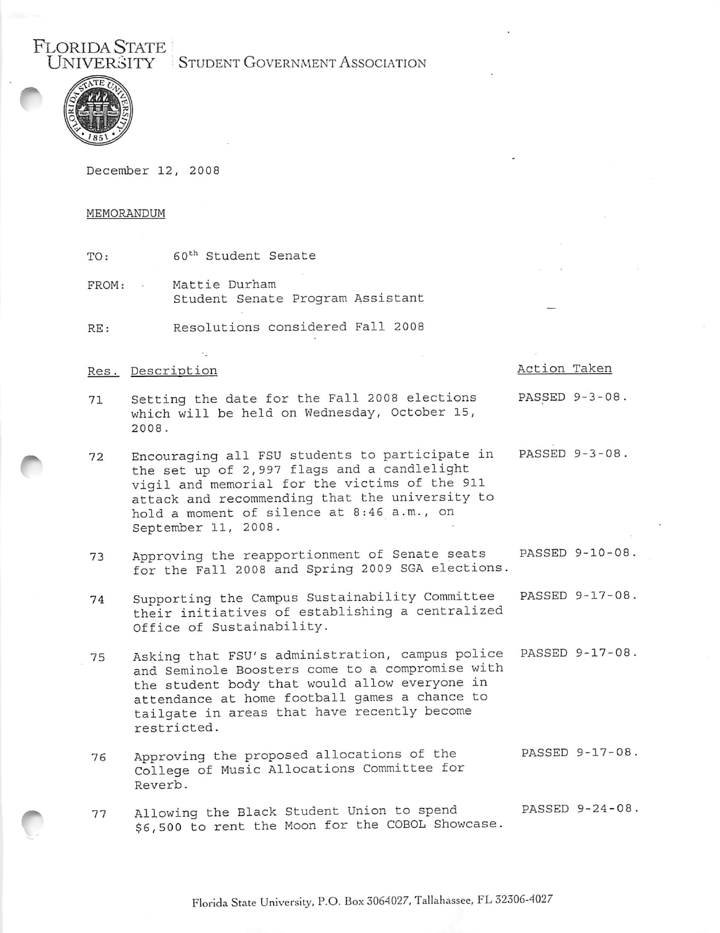STUDENT GOVERNMENT ASSOCIATION



**FLORIDA STATE** 

December 12, 2008

### MEMORANDUM

60<sup>th</sup> Student Senate TO:

FROM: Mattie Durham Student Senate Program Assistant

RE: Resolutions considered Fall 2008

### Res. Description

## Action Taken

- PASSED 9-3-08. Setting the date for the Fall 2008 elections 71 which will be held on Wednesday, October 15, 2008.
- PASSED 9-3-08. Encouraging all FSU students to participate in 72 the set up of 2,997 flags and a candlelight vigil and memorial for the victims of the 911 attack and recommending that the university to hold a moment of silence at 8:46 a.m., on September 11, 2008.
- Approving the reapportionment of Senate seats PASSED 9-10-08. 73 for the Fall 2008 and Spring 2009 SGA elections.
- Supporting the Campus Sustainability Committee PASSED 9-17-08. 74 their initiatives of establishing a centralized Office of Sustainability.
- Asking that FSU's administration, campus police PASSED 9-17-08. 75 and Seminole Boosters come to a compromise with the student body that would allow everyone in attendance at home football games a chance to tailgate in areas that have recently become restricted.
- Approving the proposed allocations of the PASSED 9-17-08. 76 College of Music Allocations Committee for Reverb.
- PASSED 9-24-08. Allowing the Black Student Union to spend 77 \$6,500 to rent the Moon for the COBOL Showcase.